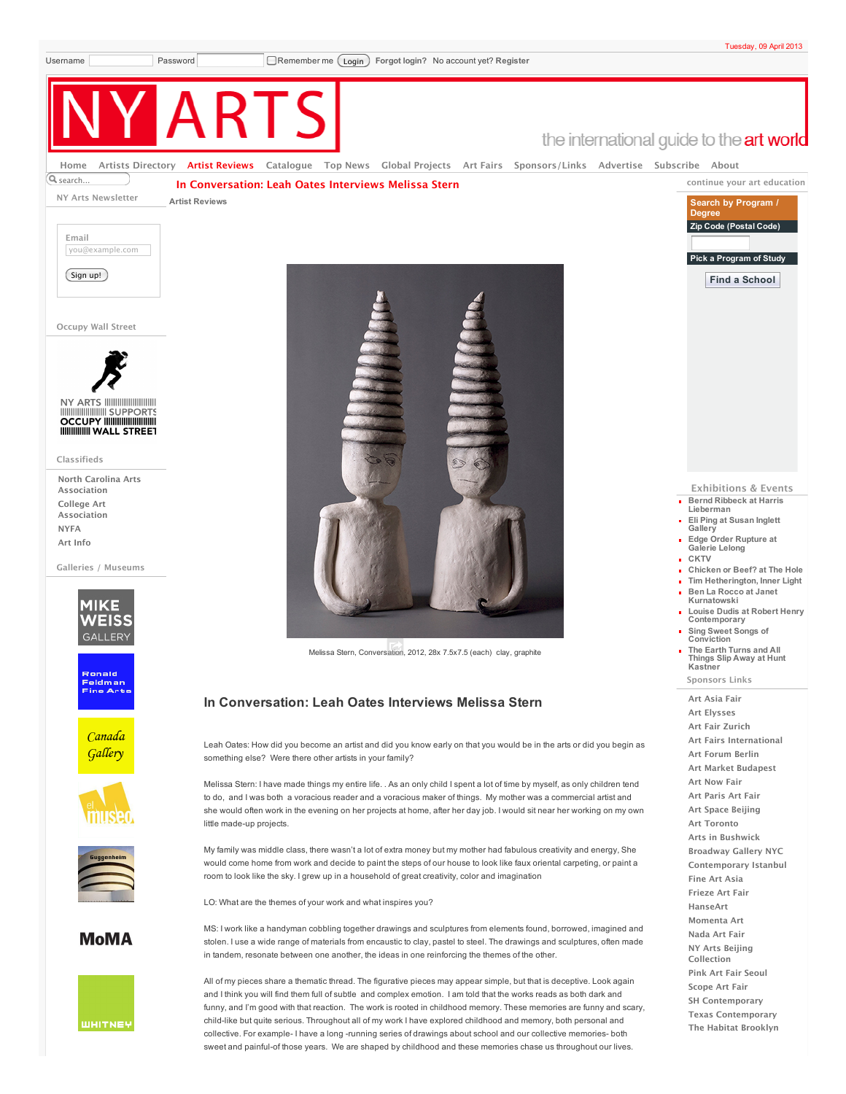**continue your art education Search by Program /**

**Pick a Program of Study Find a School**

**Degree Zip Code (Postal Code)**

the international guide to the art world

Q<sub>search</sub>. [Home](http://www.nyartsmagazine.com/) Artists [Directory](http://www.nyartsmagazine.com/tips-picks) Artist [Reviews](http://www.nyartsmagazine.com/artist-reviews/blog) [Catalogue](http://www.nyartsmagazine.com/catalogue-preview-2011/blog) Top [News](http://www.nyartsmagazine.com/news-events/blog) Global [Projects](http://www.nyartsmagazine.com/artists-at-home-abroad/blog) Art [Fairs](http://www.nyartsmagazine.com/webnotes/blog) [Sponsors/Links](http://www.nyartsmagazine.com/sponsors/blog) [Advertise](http://www.nyartsmagazine.com/advertise-with-us) [Subscribe](http://www.nyartsmagazine.com/subscribe-to-ny-arts-magazine) [About](http://www.nyartsmagazine.com/about-ny-arts)

**In [Conversation:](http://www.nyartsmagazine.com/national/in-conversation-leah-oates-interviews-melissa-stern) Leah Oates Interviews Melissa Stern**

**NY Arts Newsletter**

**Artist [Reviews](http://www.nyartsmagazine.com/artist-reviews/blog)**



**Occupy Wall Street**



**Classifieds**

**North Carolina Arts [Association](http://www.nyartsmagazine.com/classifieds/north-carolina-arts-association) College Art [Association](http://www.nyartsmagazine.com/classifieds/college-art-association) [NYFA](http://www.nyartsmagazine.com/classifieds/nyfa) Art [Info](http://www.nyartsmagazine.com/classifieds/art-info)**

**Galleries / Museums**





Canada Gallery





**MoMA** 





Melissa Stern, Conversation, 2012, 28x 7.5x7.5 (each) clay, graphite

## **In Conversation: Leah Oates Interviews Melissa Stern**

Leah Oates: How did you become an artist and did you know early on that you would be in the arts or did you begin as something else? Were there other artists in your family?

Melissa Stern: I have made things my entire life. . As an only child I spent a lot of time by myself, as only children tend to do, and I was both a voracious reader and a voracious maker of things. My mother was a commercial artist and she would often work in the evening on her projects at home, after her day job. I would sit near her working on my own little made-up projects.

My family was middle class, there wasn't a lot of extra money but my mother had fabulous creativity and energy, She would come home from work and decide to paint the steps of our house to look like faux oriental carpeting, or paint a room to look like the sky. I grew up in a household of great creativity, color and imagination

LO: What are the themes of your work and what inspires you?

MS: I work like a handyman cobbling together drawings and sculptures from elements found, borrowed, imagined and stolen. I use a wide range of materials from encaustic to clay, pastel to steel. The drawings and sculptures, often made in tandem, resonate between one another, the ideas in one reinforcing the themes of the other.

All of my pieces share a thematic thread. The figurative pieces may appear simple, but that is deceptive. Look again and I think you will find them full of subtle and complex emotion. I am told that the works reads as both dark and funny, and I'm good with that reaction. The work is rooted in childhood memory. These memories are funny and scary, child-like but quite serious. Throughout all of my work I have explored childhood and memory, both personal and collective. For example- I have a long -running series of drawings about school and our collective memories- both sweet and painful-of those years. We are shaped by childhood and these memories chase us throughout our lives.

## **Exhibitions & Events Bernd Ribbeck at Harris**

- **[Lieberman](http://www.nyartsmagazine.com/exhibitions/bernd-ribbeck-at-harris-lieberman) Eli Ping at Susan Inglett [Gallery](http://www.nyartsmagazine.com/exhibitions/eli-ping-at-susan-inglett-gallery)**
- **Edge Order [Rupture](http://www.nyartsmagazine.com/exhibitions/edge-order-rupture-at-galerie-lelong) at Galerie Lelong**
- **[CKTV](http://www.nyartsmagazine.com/exhibitions/cktv)**
- **[Chicken](http://www.nyartsmagazine.com/exhibitions/chicken-or-beef-at-the-hole) or Beef? at The Hole**
- **Tim [Hetherington,](http://www.nyartsmagazine.com/exhibitions/tim-hetherington-inner-light) Inner Light Ben La Rocco at Janet**
- **[Kurnatowski](http://www.nyartsmagazine.com/exhibitions/ben-la-rocco-at-janet-kurnatowski)**
- **Louise Dudis at Robert Henry [Contemporary](http://www.nyartsmagazine.com/exhibitions/louise-dudis-at-robert-henry-contemporary)**
- **Sing Sweet Songs of [Conviction](http://www.nyartsmagazine.com/exhibitions/sing-sweet-songs-of-conviction) The Earth Turns and All**
- **Things Slip Away at Hunt [Kastner](http://www.nyartsmagazine.com/exhibitions/the-earth-turns-and-all-things-slip-away-at-hunt-kastner) Sponsors Links**

**Art [Asia](http://www.nyartsmagazine.com/sponsors-links/art-asia-fair) Fair Art [Elysses](http://www.nyartsmagazine.com/sponsors-links/art-elysses) Art Fair [Zurich](http://www.nyartsmagazine.com/sponsors-links/art-fair-zurich) Art Fairs [International](http://www.nyartsmagazine.com/sponsors-links/art-fairs-international) Art [Forum](http://www.nyartsmagazine.com/sponsors-links/art-forum-berlin) Berlin Art Market [Budapest](http://www.nyartsmagazine.com/sponsors-links/art-market-budapest-october-27-30) Art [Now](http://www.nyartsmagazine.com/sponsors-links/art-now-fair) Fair Art [Paris](http://www.nyartsmagazine.com/sponsors-links/art-paris) Art Fair Art Space [Beijing](http://www.nyartsmagazine.com/sponsors-links/art-space-beijing) Art [Toronto](http://www.nyartsmagazine.com/sponsors-links/art-toronto) Arts in [Bushwick](http://www.nyartsmagazine.com/sponsors-links/arts-in-bushwick) [Broadway](http://www.nyartsmagazine.com/sponsors-links/broadway-gallery-nyc) Gallery NYC [Contemporary](http://www.nyartsmagazine.com/sponsors-links/contemporary-istanbul-november-24-27) Istanbul Fine Art [Asia](http://www.nyartsmagazine.com/sponsors-links/fine-art-asia) [Frieze](http://www.nyartsmagazine.com/sponsors-links/frieze-art-fair) Art Fair [HanseArt](http://www.nyartsmagazine.com/sponsors-links/hanseart-bremen-germany-november-11-13) [Momenta](http://www.nyartsmagazine.com/sponsors-links/momenta-art) Art [Nada](http://www.nyartsmagazine.com/sponsors-links/nada-art-fair-miami-dec-1-4) Art Fair NY Arts Beijing [Collection](http://www.nyartsmagazine.com/sponsors-links/ny-arts-beijing-collection) Pink Art Fair [Seoul](http://www.nyartsmagazine.com/sponsors-links/pink-art-fair-seoul) [Scope](http://www.nyartsmagazine.com/sponsors-links/scope-miami-dec-1-4) Art Fair SH [Contemporary](http://www.nyartsmagazine.com/sponsors-links/sh-contemporary) Texas [Contemporary](http://www.nyartsmagazine.com/sponsors-links/texas-contemporary-art-fair-october-20-23)**

**The Habitat [Brooklyn](http://www.nyartsmagazine.com/sponsors-links/the-habitat-brooklyn)**